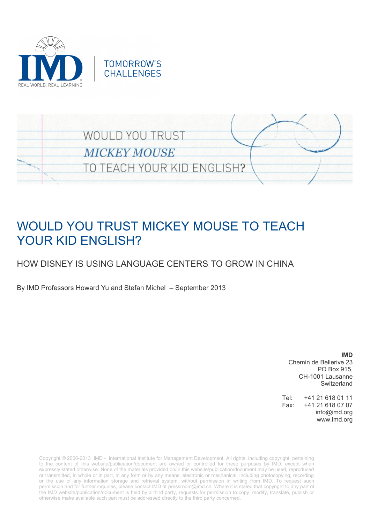



# WOULD YOU TRUST MICKEY MOUSE TO TEACH YOUR KID ENGLISH?

# HOW DISNEY IS USING LANGUAGE CENTERS TO GROW IN CHINA

By IMD Professors Howard Yu and Stefan Michel – September 2013

**IMD** Chemin de Bellerive 23 PO Box 915, CH-1001 Lausanne Switzerland

Tel: +41 21 618 01 11 Fax: +41 21 618 07 07 info@imd.org www.imd.org

Copyright © 2006-2013 IMD - International Institute for Management Development. All rights, including copyright, pertaining to the content of this website/publication/document are owned or controlled for these purposes by IMD, except when expressly stated otherwise. None of the materials provided on/in this website/publication/document may be used, reproduced or transmitted, in whole or in part, in any form or by any means, electronic or mechanical, including photocopying, recording or the use of any information storage and retrieval system, without permission in writing from IMD. To request such permission and for further inquiries, please contact IMD at [pressroom@imd.ch.](mailto:pressroom@imd.ch) Where it is stated that copyright to any part of the IMD website/publication/document is held by a third party, requests for permission to copy, modify, translate, publish or otherwise make available such part must be addressed directly to the third party concerned.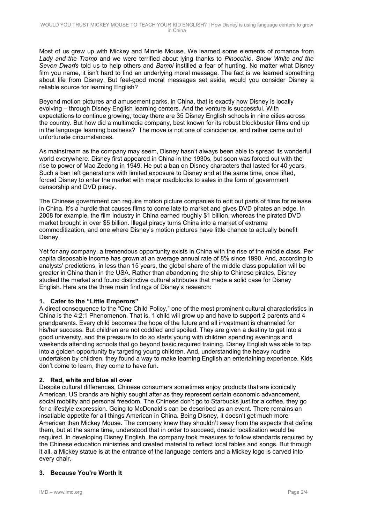Most of us grew up with Mickey and Minnie Mouse. We learned some elements of romance from *Lady and the Tramp* and we were terrified about lying thanks to *Pinocchio*. *Snow White and the Seven Dwarfs* told us to help others and *Bambi* instilled a fear of hunting. No matter what Disney film you name, it isn't hard to find an underlying moral message. The fact is we learned something about life from Disney. But feel-good moral messages set aside, would you consider Disney a reliable source for learning English?

Beyond motion pictures and amusement parks, in China, that is exactly how Disney is locally evolving – through Disney English learning centers. And the venture is successful. With expectations to continue growing, today there are 35 Disney English schools in nine cities across the country. But how did a multimedia company, best known for its robust blockbuster films end up in the language learning business? The move is not one of coincidence, and rather came out of unfortunate circumstances.

As mainstream as the company may seem, Disney hasn't always been able to spread its wonderful world everywhere. Disney first appeared in China in the 1930s, but soon was forced out with the rise to power of Mao Zedong in 1949. He put a ban on Disney characters that lasted for 40 years. Such a ban left generations with limited exposure to Disney and at the same time, once lifted, forced Disney to enter the market with major roadblocks to sales in the form of government censorship and DVD piracy.

The Chinese government can require motion picture companies to edit out parts of films for release in China. It's a hurdle that causes films to come late to market and gives DVD pirates an edge. In 2008 for example, the film industry in China earned roughly \$1 billion, whereas the pirated DVD market brought in over \$5 billion. Illegal piracy turns China into a market of extreme commoditization, and one where Disney's motion pictures have little chance to actually benefit Disney.

Yet for any company, a tremendous opportunity exists in China with the rise of the middle class. Per capita disposable income has grown at an average annual rate of 8% since 1990. And, according to analysts' predictions, in less than 15 years, the global share of the middle class population will be greater in China than in the USA. Rather than abandoning the ship to Chinese pirates, Disney studied the market and found distinctive cultural attributes that made a solid case for Disney English. Here are the three main findings of Disney's research:

#### **1. Cater to the "Little Emperors"**

A direct consequence to the "One Child Policy," one of the most prominent cultural characteristics in China is the 4:2:1 Phenomenon. That is, 1 child will grow up and have to support 2 parents and 4 grandparents. Every child becomes the hope of the future and all investment is channeled for his/her success. But children are not coddled and spoiled. They are given a destiny to get into a good university, and the pressure to do so starts young with children spending evenings and weekends attending schools that go beyond basic required training. Disney English was able to tap into a golden opportunity by targeting young children. And, understanding the heavy routine undertaken by children, they found a way to make learning English an entertaining experience. Kids don't come to learn, they come to have fun.

#### **2. Red, white and blue all over**

Despite cultural differences, Chinese consumers sometimes enjoy products that are iconically American. US brands are highly sought after as they represent certain economic advancement, social mobility and personal freedom. The Chinese don't go to Starbucks just for a coffee, they go for a lifestyle expression. Going to McDonald's can be described as an event. There remains an insatiable appetite for all things American in China. Being Disney, it doesn't get much more American than Mickey Mouse. The company knew they shouldn't sway from the aspects that define them, but at the same time, understood that in order to succeed, drastic localization would be required. In developing Disney English, the company took measures to follow standards required by the Chinese education ministries and created material to reflect local fables and songs. But through it all, a Mickey statue is at the entrance of the language centers and a Mickey logo is carved into every chair.

### **3. Because You're Worth It**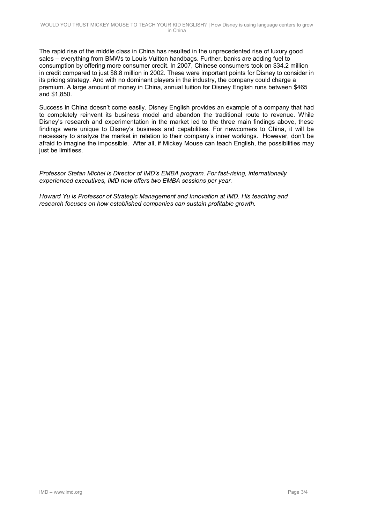The rapid rise of the middle class in China has resulted in the unprecedented rise of luxury good sales – everything from BMWs to Louis Vuitton handbags. Further, banks are adding fuel to consumption by offering more consumer credit. In 2007, Chinese consumers took on \$34.2 million in credit compared to just \$8.8 million in 2002. These were important points for Disney to consider in its pricing strategy. And with no dominant players in the industry, the company could charge a premium. A large amount of money in China, annual tuition for Disney English runs between \$465 and \$1,850.

Success in China doesn't come easily. Disney English provides an example of a company that had to completely reinvent its business model and abandon the traditional route to revenue. While Disney's research and experimentation in the market led to the three main findings above, these findings were unique to Disney's business and capabilities. For newcomers to China, it will be necessary to analyze the market in relation to their company's inner workings. However, don't be afraid to imagine the impossible. After all, if Mickey Mouse can teach English, the possibilities may just be limitless.

*Professor Stefan Michel is Director of IMD's EMBA program. For fast-rising, internationally experienced executives, IMD now offers two EMBA sessions per year.* 

*Howard Yu is Professor of Strategic Management and Innovation at IMD. His teaching and research focuses on how established companies can sustain profitable growth.*